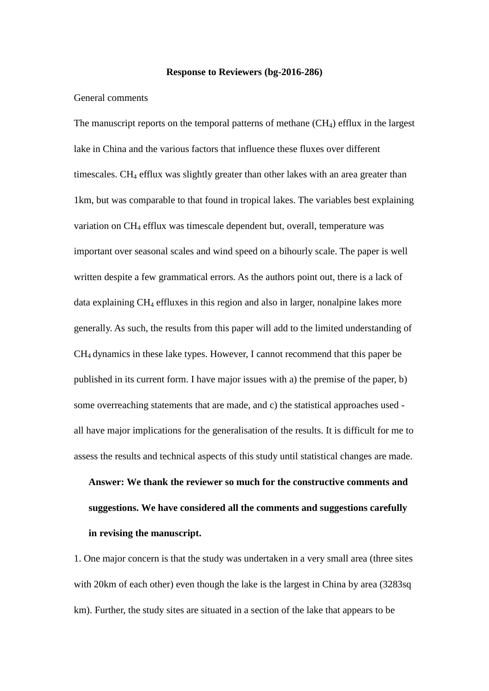### **Response to Reviewers (bg-2016-286)**

## General comments

The manuscript reports on the temporal patterns of methane  $(CH<sub>4</sub>)$  efflux in the largest lake in China and the various factors that influence these fluxes over different timescales. CH<sub>4</sub> efflux was slightly greater than other lakes with an area greater than 1km, but was comparable to that found in tropical lakes. The variables best explaining variation on CH<sub>4</sub> efflux was timescale dependent but, overall, temperature was important over seasonal scales and wind speed on a bihourly scale. The paper is well written despite a few grammatical errors. As the authors point out, there is a lack of data explaining CH<sub>4</sub> effluxes in this region and also in larger, nonalpine lakes more generally. As such, the results from this paper will add to the limited understanding of CH4 dynamics in these lake types. However, I cannot recommend that this paper be published in its current form. I have major issues with a) the premise of the paper, b) some overreaching statements that are made, and c) the statistical approaches used all have major implications for the generalisation of the results. It is difficult for me to assess the results and technical aspects of this study until statistical changes are made.

# **Answer: We thank the reviewer so much for the constructive comments and suggestions. We have considered all the comments and suggestions carefully in revising the manuscript.**

1. One major concern is that the study was undertaken in a very small area (three sites with 20km of each other) even though the lake is the largest in China by area (3283sq) km). Further, the study sites are situated in a section of the lake that appears to be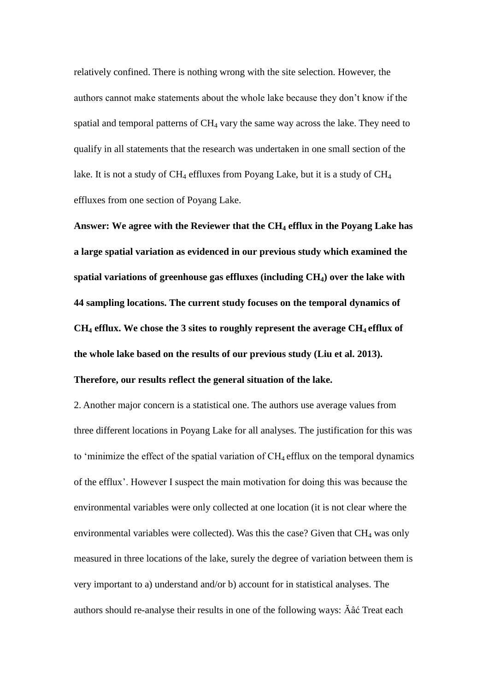relatively confined. There is nothing wrong with the site selection. However, the authors cannot make statements about the whole lake because they don't know if the spatial and temporal patterns of  $CH<sub>4</sub>$  vary the same way across the lake. They need to qualify in all statements that the research was undertaken in one small section of the lake. It is not a study of  $CH_4$  effluxes from Poyang Lake, but it is a study of  $CH_4$ effluxes from one section of Poyang Lake.

**Answer: We agree with the Reviewer that the CH<sup>4</sup> efflux in the Poyang Lake has a large spatial variation as evidenced in our previous study which examined the spatial variations of greenhouse gas effluxes (including CH4) over the lake with 44 sampling locations. The current study focuses on the temporal dynamics of CH<sup>4</sup> efflux. We chose the 3 sites to roughly represent the average CH4 efflux of the whole lake based on the results of our previous study (Liu et al. 2013).** 

# **Therefore, our results reflect the general situation of the lake.**

2. Another major concern is a statistical one. The authors use average values from three different locations in Poyang Lake for all analyses. The justification for this was to 'minimize the effect of the spatial variation of  $CH_4$  efflux on the temporal dynamics of the efflux'. However I suspect the main motivation for doing this was because the environmental variables were only collected at one location (it is not clear where the environmental variables were collected). Was this the case? Given that  $CH_4$  was only measured in three locations of the lake, surely the degree of variation between them is very important to a) understand and/or b) account for in statistical analyses. The authors should re-analyse their results in one of the following ways: Ăâć Treat each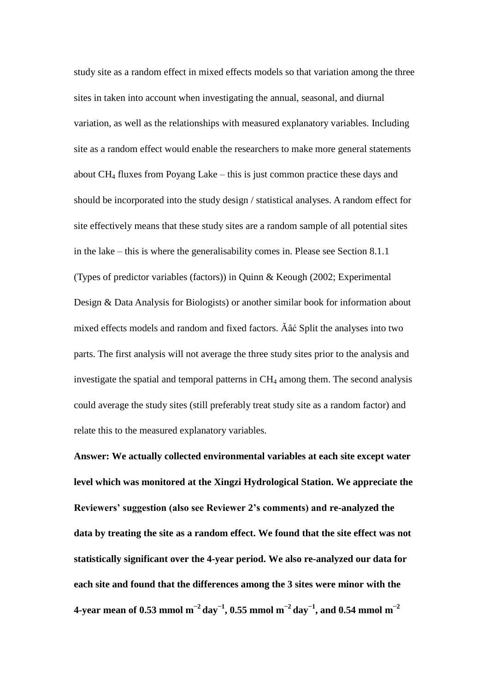study site as a random effect in mixed effects models so that variation among the three sites in taken into account when investigating the annual, seasonal, and diurnal variation, as well as the relationships with measured explanatory variables. Including site as a random effect would enable the researchers to make more general statements about  $CH_4$  fluxes from Poyang Lake – this is just common practice these days and should be incorporated into the study design / statistical analyses. A random effect for site effectively means that these study sites are a random sample of all potential sites in the lake – this is where the generalisability comes in. Please see Section 8.1.1 (Types of predictor variables (factors)) in Quinn & Keough (2002; Experimental Design & Data Analysis for Biologists) or another similar book for information about mixed effects models and random and fixed factors. Ăâć Split the analyses into two parts. The first analysis will not average the three study sites prior to the analysis and investigate the spatial and temporal patterns in CH<sup>4</sup> among them. The second analysis could average the study sites (still preferably treat study site as a random factor) and relate this to the measured explanatory variables.

**Answer: We actually collected environmental variables at each site except water level which was monitored at the Xingzi Hydrological Station. We appreciate the Reviewers' suggestion (also see Reviewer 2's comments) and re-analyzed the data by treating the site as a random effect. We found that the site effect was not statistically significant over the 4-year period. We also re-analyzed our data for each site and found that the differences among the 3 sites were minor with the 4-year mean of 0.53 mmol m −2 day−1 , 0.55 mmol m −2 day−1 , and 0.54 mmol m −2**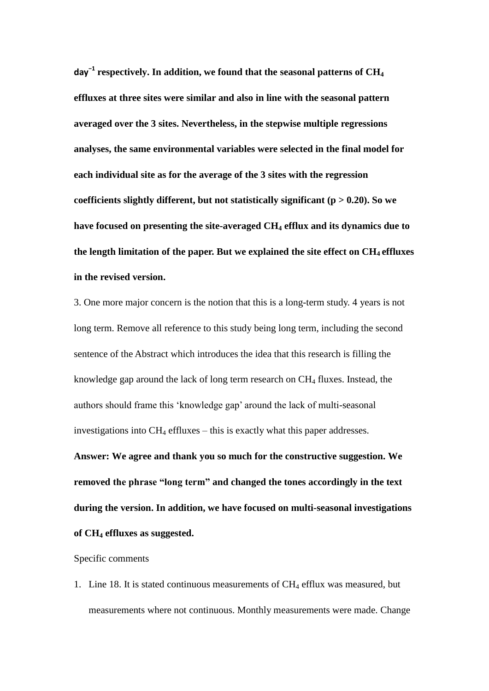**day<sup>−</sup><sup>1</sup> respectively. In addition, we found that the seasonal patterns of CH<sup>4</sup> effluxes at three sites were similar and also in line with the seasonal pattern averaged over the 3 sites. Nevertheless, in the stepwise multiple regressions analyses, the same environmental variables were selected in the final model for each individual site as for the average of the 3 sites with the regression coefficients slightly different, but not statistically significant (p > 0.20). So we have focused on presenting the site-averaged CH<sup>4</sup> efflux and its dynamics due to the length limitation of the paper. But we explained the site effect on CH4 effluxes in the revised version.** 

3. One more major concern is the notion that this is a long-term study. 4 years is not long term. Remove all reference to this study being long term, including the second sentence of the Abstract which introduces the idea that this research is filling the knowledge gap around the lack of long term research on CH<sup>4</sup> fluxes. Instead, the authors should frame this 'knowledge gap' around the lack of multi-seasonal investigations into  $CH_4$  effluxes – this is exactly what this paper addresses.

**Answer: We agree and thank you so much for the constructive suggestion. We removed the phrase "long term" and changed the tones accordingly in the text during the version. In addition, we have focused on multi-seasonal investigations of CH<sup>4</sup> effluxes as suggested.**

### Specific comments

1. Line 18. It is stated continuous measurements of  $CH_4$  efflux was measured, but measurements where not continuous. Monthly measurements were made. Change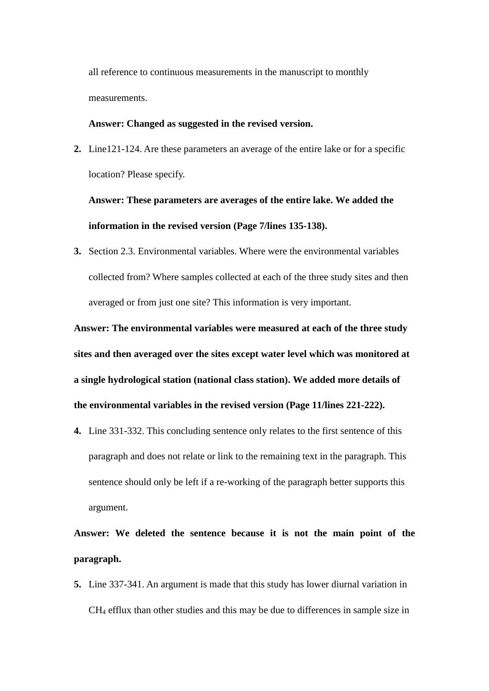all reference to continuous measurements in the manuscript to monthly measurements.

## **Answer: Changed as suggested in the revised version.**

**2.** Line121-124. Are these parameters an average of the entire lake or for a specific location? Please specify.

**Answer: These parameters are averages of the entire lake. We added the information in the revised version (Page 7/lines 135-138).** 

**3.** Section 2.3. Environmental variables. Where were the environmental variables collected from? Where samples collected at each of the three study sites and then averaged or from just one site? This information is very important.

**Answer: The environmental variables were measured at each of the three study sites and then averaged over the sites except water level which was monitored at a single hydrological station (national class station). We added more details of the environmental variables in the revised version (Page 11/lines 221-222).**

**4.** Line 331-332. This concluding sentence only relates to the first sentence of this paragraph and does not relate or link to the remaining text in the paragraph. This sentence should only be left if a re-working of the paragraph better supports this argument.

**Answer: We deleted the sentence because it is not the main point of the paragraph.**

**5.** Line 337-341. An argument is made that this study has lower diurnal variation in CH<sup>4</sup> efflux than other studies and this may be due to differences in sample size in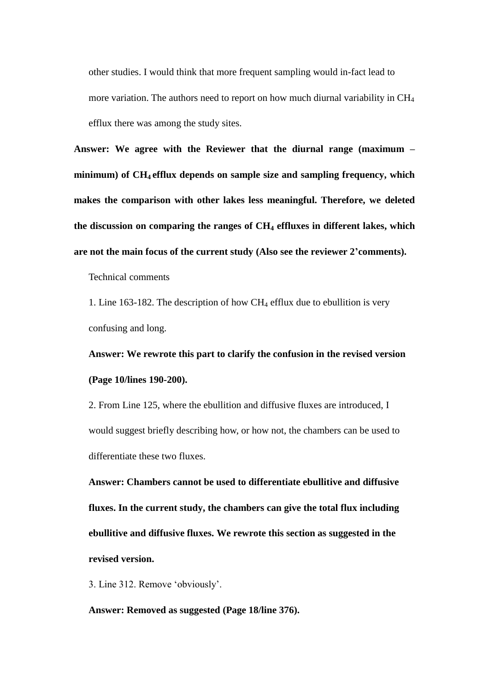other studies. I would think that more frequent sampling would in-fact lead to more variation. The authors need to report on how much diurnal variability in CH<sup>4</sup> efflux there was among the study sites.

**Answer: We agree with the Reviewer that the diurnal range (maximum – minimum) of CH4 efflux depends on sample size and sampling frequency, which makes the comparison with other lakes less meaningful. Therefore, we deleted the discussion on comparing the ranges of CH<sup>4</sup> effluxes in different lakes, which are not the main focus of the current study (Also see the reviewer 2'comments).**

Technical comments

1. Line 163-182. The description of how  $CH_4$  efflux due to ebullition is very confusing and long.

**Answer: We rewrote this part to clarify the confusion in the revised version (Page 10/lines 190-200).**

2. From Line 125, where the ebullition and diffusive fluxes are introduced, I would suggest briefly describing how, or how not, the chambers can be used to differentiate these two fluxes.

**Answer: Chambers cannot be used to differentiate ebullitive and diffusive fluxes. In the current study, the chambers can give the total flux including ebullitive and diffusive fluxes. We rewrote this section as suggested in the revised version.** 

3. Line 312. Remove 'obviously'.

**Answer: Removed as suggested (Page 18/line 376).**